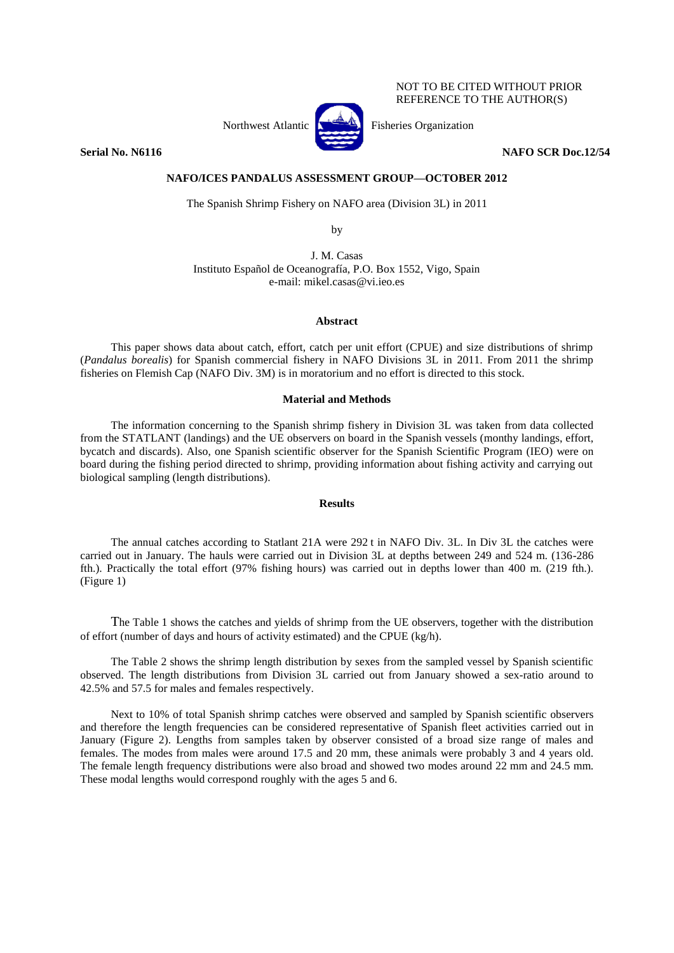NOT TO BE CITED WITHOUT PRIOR REFERENCE TO THE AUTHOR(S)



Northwest Atlantic **Northus** Fisheries Organization

**Serial No. N6116 NAFO SCR Doc.12/54** 

## **NAFO/ICES PANDALUS ASSESSMENT GROUP—OCTOBER 2012**

The Spanish Shrimp Fishery on NAFO area (Division 3L) in 2011

by

J. M. Casas Instituto Español de Oceanografía, P.O. Box 1552, Vigo, Spain e-mail: mikel.casas@vi.ieo.es

## **Abstract**

This paper shows data about catch, effort, catch per unit effort (CPUE) and size distributions of shrimp (*Pandalus borealis*) for Spanish commercial fishery in NAFO Divisions 3L in 2011. From 2011 the shrimp fisheries on Flemish Cap (NAFO Div. 3M) is in moratorium and no effort is directed to this stock.

## **Material and Methods**

The information concerning to the Spanish shrimp fishery in Division 3L was taken from data collected from the STATLANT (landings) and the UE observers on board in the Spanish vessels (monthy landings, effort, bycatch and discards). Also, one Spanish scientific observer for the Spanish Scientific Program (IEO) were on board during the fishing period directed to shrimp, providing information about fishing activity and carrying out biological sampling (length distributions).

## **Results**

The annual catches according to Statlant 21A were 292 t in NAFO Div. 3L. In Div 3L the catches were carried out in January. The hauls were carried out in Division 3L at depths between 249 and 524 m. (136-286 fth.). Practically the total effort (97% fishing hours) was carried out in depths lower than 400 m. (219 fth.). (Figure 1)

The Table 1 shows the catches and yields of shrimp from the UE observers, together with the distribution of effort (number of days and hours of activity estimated) and the CPUE (kg/h).

The Table 2 shows the shrimp length distribution by sexes from the sampled vessel by Spanish scientific observed. The length distributions from Division 3L carried out from January showed a sex-ratio around to 42.5% and 57.5 for males and females respectively.

Next to 10% of total Spanish shrimp catches were observed and sampled by Spanish scientific observers and therefore the length frequencies can be considered representative of Spanish fleet activities carried out in January (Figure 2). Lengths from samples taken by observer consisted of a broad size range of males and females. The modes from males were around 17.5 and 20 mm, these animals were probably 3 and 4 years old. The female length frequency distributions were also broad and showed two modes around 22 mm and 24.5 mm. These modal lengths would correspond roughly with the ages 5 and 6.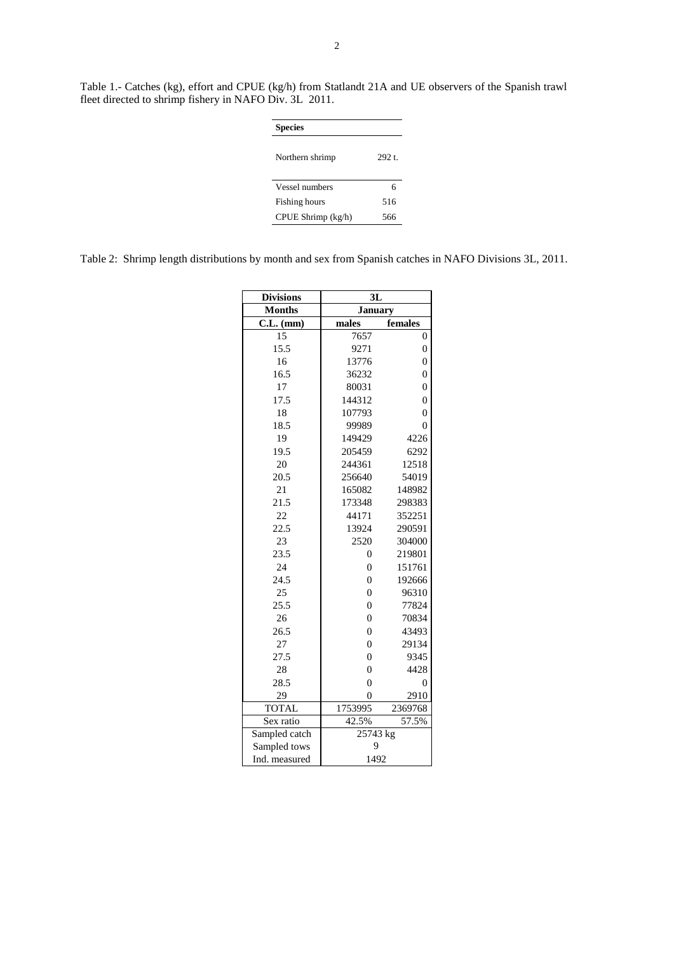Table 1.- Catches (kg), effort and CPUE (kg/h) from Statlandt 21A and UE observers of the Spanish trawl fleet directed to shrimp fishery in NAFO Div. 3L 2011.

| <b>Species</b>       |       |
|----------------------|-------|
| Northern shrimp      | 292.1 |
| Vessel numbers       | 6     |
| <b>Fishing hours</b> | 516   |
| CPUE Shrimp (kg/h)   | 566   |

|  |  |  |  |  |  | Table 2: Shrimp length distributions by month and sex from Spanish catches in NAFO Divisions 3L, 2011. |
|--|--|--|--|--|--|--------------------------------------------------------------------------------------------------------|
|--|--|--|--|--|--|--------------------------------------------------------------------------------------------------------|

| <b>Divisions</b> | 3L               |                  |  |
|------------------|------------------|------------------|--|
| <b>Months</b>    | <b>January</b>   |                  |  |
| $C.L.$ (mm)      | males            | females          |  |
| 15               | 7657             | $\boldsymbol{0}$ |  |
| 15.5             | 9271             | $\overline{0}$   |  |
| 16               | 13776            | $\overline{0}$   |  |
| 16.5             | 36232            | $\overline{0}$   |  |
| 17               | 80031            | $\overline{0}$   |  |
| 17.5             | 144312           | $\overline{0}$   |  |
| 18               | 107793           | $\overline{0}$   |  |
| 18.5             | 99989            | $\boldsymbol{0}$ |  |
| 19               | 149429           | 4226             |  |
| 19.5             | 205459           | 6292             |  |
| 20               | 244361           | 12518            |  |
| 20.5             | 256640           | 54019            |  |
| 21               | 165082           | 148982           |  |
| 21.5             | 173348           | 298383           |  |
| 22               | 44171            | 352251           |  |
| 22.5             | 13924            | 290591           |  |
| 23               | 2520             | 304000           |  |
| 23.5             | $\overline{0}$   | 219801           |  |
| 24               | $\boldsymbol{0}$ | 151761           |  |
| 24.5             | $\boldsymbol{0}$ | 192666           |  |
| 25               | $\overline{0}$   | 96310            |  |
| 25.5             | $\overline{0}$   | 77824            |  |
| 26               | $\overline{0}$   | 70834            |  |
| 26.5             | $\overline{0}$   | 43493            |  |
| 27               | $\overline{0}$   | 29134            |  |
| 27.5             | $\overline{0}$   | 9345             |  |
| 28               | $\overline{0}$   | 4428             |  |
| 28.5             | $\overline{0}$   | $\boldsymbol{0}$ |  |
| 29               | $\overline{0}$   | 2910             |  |
| <b>TOTAL</b>     | 1753995          | 2369768          |  |
| Sex ratio        | 42.5%            | 57.5%            |  |
| Sampled catch    | 25743 kg         |                  |  |
| Sampled tows     | 9                |                  |  |
| Ind. measured    | 1492             |                  |  |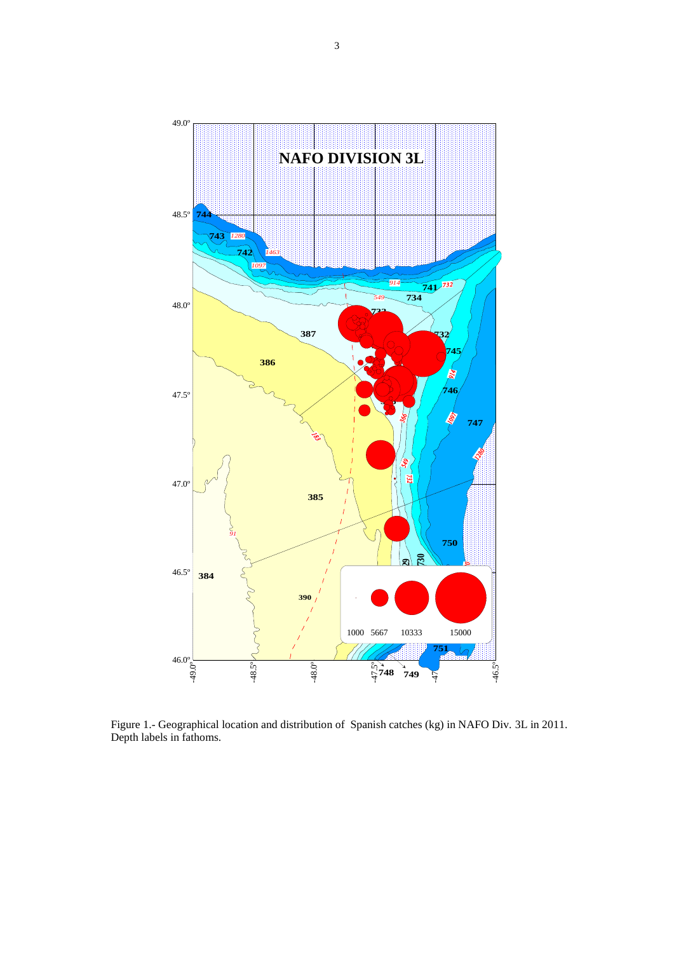

Figure 1.- Geographical location and distribution of Spanish catches (kg) in NAFO Div. 3L in 2011. Depth labels in fathoms.